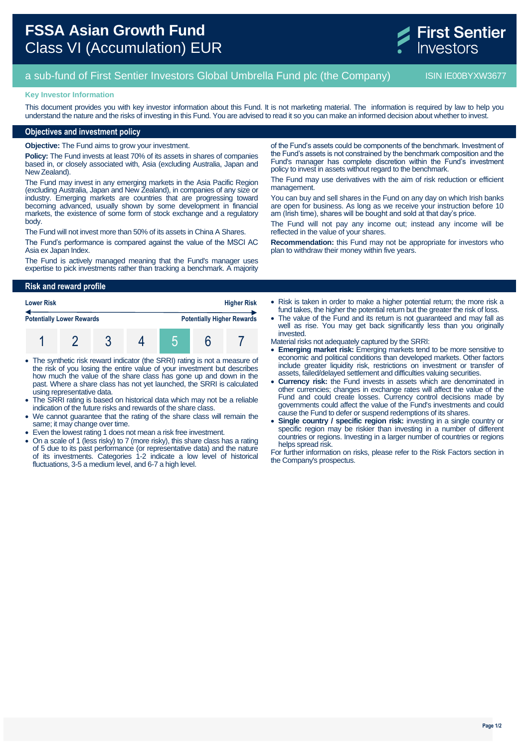# **FSSA Asian Growth Fund** Class VI (Accumulation) EUR

### a sub-fund of First Sentier Investors Global Umbrella Fund plc (the Company) ISIN IE00BYXW3677

### **Key Investor Information**

This document provides you with key investor information about this Fund. It is not marketing material. The information is required by law to help you understand the nature and the risks of investing in this Fund. You are advised to read it so you can make an informed decision about whether to invest.

### **Objectives and investment policy**

**Objective:** The Fund aims to grow your investment.

**Policy:** The Fund invests at least 70% of its assets in shares of companies based in, or closely associated with, Asia (excluding Australia, Japan and New Zealand).

The Fund may invest in any emerging markets in the Asia Pacific Region (excluding Australia, Japan and New Zealand), in companies of any size or industry. Emerging markets are countries that are progressing toward becoming advanced, usually shown by some development in financial markets, the existence of some form of stock exchange and a regulatory body.

The Fund will not invest more than 50% of its assets in China A Shares.

The Fund's performance is compared against the value of the MSCI AC Asia ex Japan Index.

The Fund is actively managed meaning that the Fund's manager uses expertise to pick investments rather than tracking a benchmark. A majority

## **Risk and reward profile**



- The synthetic risk reward indicator (the SRRI) rating is not a measure of the risk of you losing the entire value of your investment but describes how much the value of the share class has gone up and down in the past. Where a share class has not yet launched, the SRRI is calculated using representative data.
- The SRRI rating is based on historical data which may not be a reliable indication of the future risks and rewards of the share class.
- We cannot guarantee that the rating of the share class will remain the same; it may change over time.
- Even the lowest rating 1 does not mean a risk free investment.
- On a scale of 1 (less risky) to 7 (more risky), this share class has a rating of 5 due to its past performance (or representative data) and the nature of its investments. Categories 1-2 indicate a low level of historical fluctuations, 3-5 a medium level, and 6-7 a high level.

of the Fund's assets could be components of the benchmark. Investment of the Fund's assets is not constrained by the benchmark composition and the Fund's manager has complete discretion within the Fund's investment policy to invest in assets without regard to the benchmark.

The Fund may use derivatives with the aim of risk reduction or efficient management.

You can buy and sell shares in the Fund on any day on which Irish banks are open for business. As long as we receive your instruction before 10 am (Irish time), shares will be bought and sold at that day's price.

The Fund will not pay any income out; instead any income will be reflected in the value of your shares.

**Recommendation:** this Fund may not be appropriate for investors who plan to withdraw their money within five years.

- Risk is taken in order to make a higher potential return; the more risk a fund takes, the higher the potential return but the greater the risk of loss.
- The value of the Fund and its return is not guaranteed and may fall as well as rise. You may get back significantly less than you originally invested.
- Material risks not adequately captured by the SRRI:
- **Emerging market risk:** Emerging markets tend to be more sensitive to economic and political conditions than developed markets. Other factors include greater liquidity risk, restrictions on investment or transfer of assets, failed/delayed settlement and difficulties valuing securities.
- **Currency risk:** the Fund invests in assets which are denominated in other currencies; changes in exchange rates will affect the value of the Fund and could create losses. Currency control decisions made by governments could affect the value of the Fund's investments and could cause the Fund to defer or suspend redemptions of its shares.
- **Single country / specific region risk:** investing in a single country or specific region may be riskier than investing in a number of different countries or regions. Investing in a larger number of countries or regions helps spread risk.

For further information on risks, please refer to the Risk Factors section in the Company's prospectus.